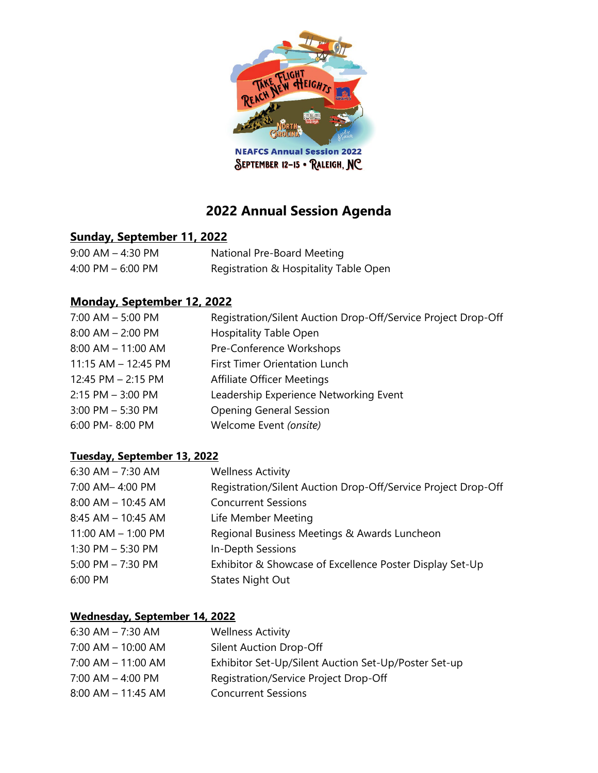

**NEAFCS Annual Session 2022** SEPTEMBER 12-15 · RALEIGH, NC

# **2022 Annual Session Agenda**

### **Sunday, September 11, 2022**

| $9:00$ AM $-$ 4:30 PM | National Pre-Board Meeting            |
|-----------------------|---------------------------------------|
| 4:00 PM $-$ 6:00 PM   | Registration & Hospitality Table Open |

## **Monday, September 12, 2022**

| $7:00$ AM $-5:00$ PM    | Registration/Silent Auction Drop-Off/Service Project Drop-Off |
|-------------------------|---------------------------------------------------------------|
| $8:00$ AM $- 2:00$ PM   | <b>Hospitality Table Open</b>                                 |
| $8:00$ AM $-$ 11:00 AM  | Pre-Conference Workshops                                      |
| $11:15$ AM $- 12:45$ PM | <b>First Timer Orientation Lunch</b>                          |
| 12:45 PM - 2:15 PM      | <b>Affiliate Officer Meetings</b>                             |
| $2:15$ PM $-$ 3:00 PM   | Leadership Experience Networking Event                        |
| $3:00$ PM $-5:30$ PM    | <b>Opening General Session</b>                                |
| 6:00 PM-8:00 PM         | Welcome Event (onsite)                                        |
|                         |                                                               |

#### **Tuesday, September 13, 2022**

| 6:30 AM $- 7:30$ AM    | <b>Wellness Activity</b>                                      |
|------------------------|---------------------------------------------------------------|
| 7:00 AM-4:00 PM        | Registration/Silent Auction Drop-Off/Service Project Drop-Off |
| $8:00$ AM $-$ 10:45 AM | <b>Concurrent Sessions</b>                                    |
| 8:45 AM - 10:45 AM     | Life Member Meeting                                           |
| $11:00$ AM $- 1:00$ PM | Regional Business Meetings & Awards Luncheon                  |
| 1:30 PM $-$ 5:30 PM    | In-Depth Sessions                                             |
| 5:00 PM $- 7:30$ PM    | Exhibitor & Showcase of Excellence Poster Display Set-Up      |
| 6:00 PM                | <b>States Night Out</b>                                       |

#### **Wednesday, September 14, 2022**

| 6:30 AM $- 7:30$ AM    | <b>Wellness Activity</b>                             |
|------------------------|------------------------------------------------------|
| $7:00$ AM $-$ 10:00 AM | Silent Auction Drop-Off                              |
| $7:00$ AM $-$ 11:00 AM | Exhibitor Set-Up/Silent Auction Set-Up/Poster Set-up |
| $7:00$ AM $-$ 4:00 PM  | Registration/Service Project Drop-Off                |
| $8:00$ AM $-$ 11:45 AM | <b>Concurrent Sessions</b>                           |